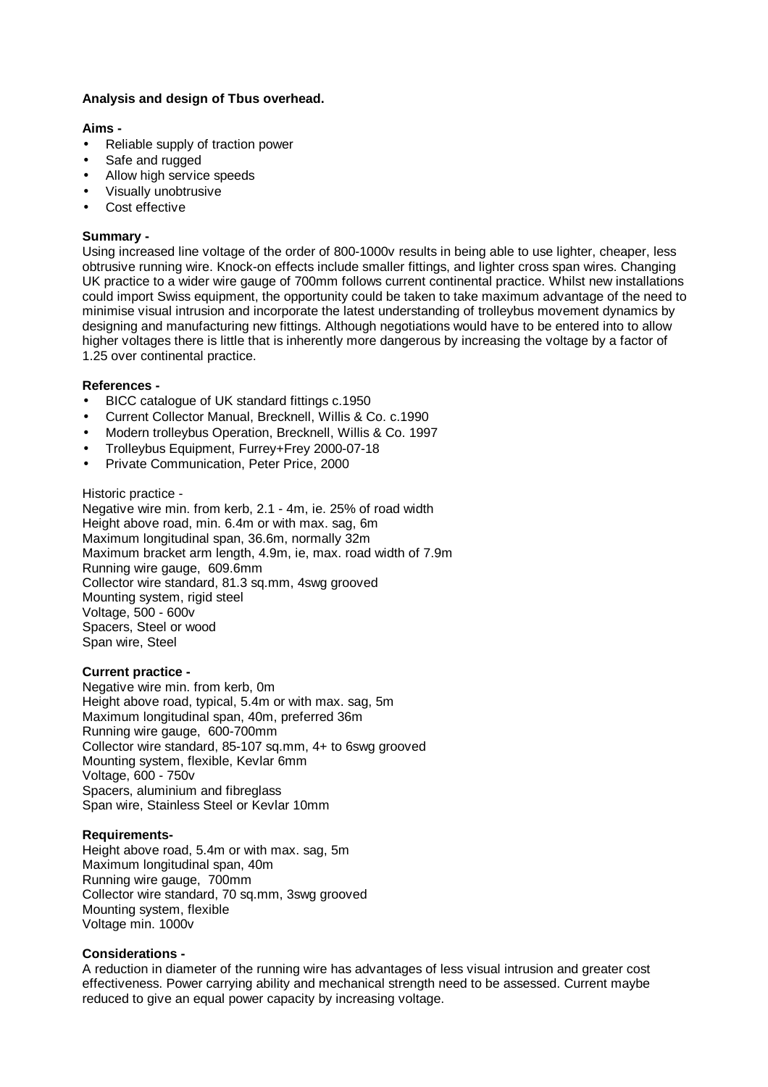# **Analysis and design of Tbus overhead.**

### **Aims -**

- Reliable supply of traction power
- Safe and rugged
- Allow high service speeds
- Visually unobtrusive
- Cost effective

### **Summary -**

Using increased line voltage of the order of 800-1000v results in being able to use lighter, cheaper, less obtrusive running wire. Knock-on effects include smaller fittings, and lighter cross span wires. Changing UK practice to a wider wire gauge of 700mm follows current continental practice. Whilst new installations could import Swiss equipment, the opportunity could be taken to take maximum advantage of the need to minimise visual intrusion and incorporate the latest understanding of trolleybus movement dynamics by designing and manufacturing new fittings. Although negotiations would have to be entered into to allow higher voltages there is little that is inherently more dangerous by increasing the voltage by a factor of 1.25 over continental practice.

#### **References -**

- BICC catalogue of UK standard fittings c.1950
- Current Collector Manual, Brecknell, Willis & Co. c.1990
- Modern trolleybus Operation, Brecknell, Willis & Co. 1997
- Trolleybus Equipment, Furrey+Frey 2000-07-18
- Private Communication, Peter Price, 2000

#### Historic practice -

Negative wire min. from kerb, 2.1 - 4m, ie. 25% of road width Height above road, min. 6.4m or with max. sag, 6m Maximum longitudinal span, 36.6m, normally 32m Maximum bracket arm length, 4.9m, ie, max. road width of 7.9m Running wire gauge, 609.6mm Collector wire standard, 81.3 sq.mm, 4swg grooved Mounting system, rigid steel Voltage, 500 - 600v Spacers, Steel or wood Span wire, Steel

# **Current practice -**

Negative wire min. from kerb, 0m Height above road, typical, 5.4m or with max. sag, 5m Maximum longitudinal span, 40m, preferred 36m Running wire gauge, 600-700mm Collector wire standard, 85-107 sq.mm, 4+ to 6swg grooved Mounting system, flexible, Kevlar 6mm Voltage, 600 - 750v Spacers, aluminium and fibreglass Span wire, Stainless Steel or Kevlar 10mm

#### **Requirements-**

Height above road, 5.4m or with max. sag, 5m Maximum longitudinal span, 40m Running wire gauge, 700mm Collector wire standard, 70 sq.mm, 3swg grooved Mounting system, flexible Voltage min. 1000v

# **Considerations -**

A reduction in diameter of the running wire has advantages of less visual intrusion and greater cost effectiveness. Power carrying ability and mechanical strength need to be assessed. Current maybe reduced to give an equal power capacity by increasing voltage.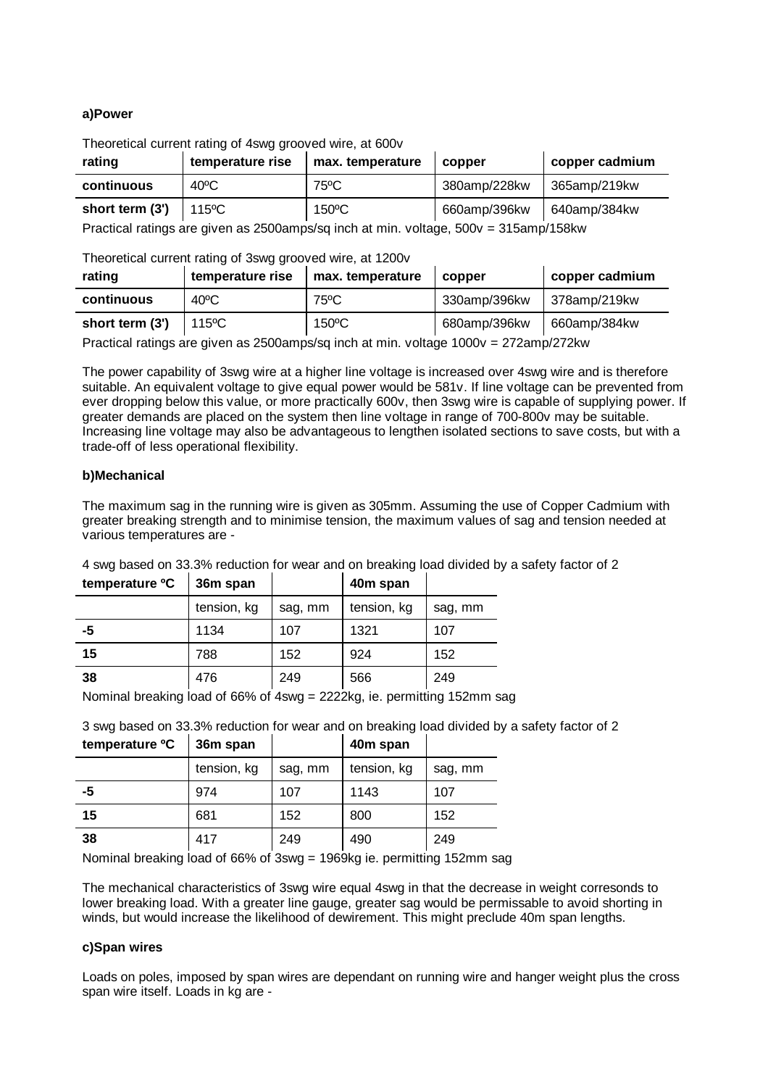# **a)Power**

Theoretical current rating of 4swg grooved wire, at 600v

| rating                                                                               | temperature rise | max. temperature | copper       | copper cadmium |  |
|--------------------------------------------------------------------------------------|------------------|------------------|--------------|----------------|--|
| continuous                                                                           | $40^{\circ}$ C   | 75°C             | 380amp/228kw | 365amp/219kw   |  |
| short term (3')                                                                      | 115ºC            | 150°C            | 660amp/396kw | 640amp/384kw   |  |
| Practical ratings are given as 2500amps/sq inch at min. voltage, 500v = 315amp/158kw |                  |                  |              |                |  |

Theoretical current rating of 3swg grooved wire, at 1200v

| rating          | temperature rise | max. temperature | copper       | copper cadmium |
|-----------------|------------------|------------------|--------------|----------------|
| continuous      | $40^{\circ}$ C   | $75^{\circ}$ C   | 330amp/396kw | 378amp/219kw   |
| short term (3') | $115^{\circ}$ C  | $150^{\circ}$ C  | 680amp/396kw | 660amp/384kw   |

Practical ratings are given as 2500amps/sq inch at min. voltage 1000v = 272amp/272kw

The power capability of 3swg wire at a higher line voltage is increased over 4swg wire and is therefore suitable. An equivalent voltage to give equal power would be 581v. If line voltage can be prevented from ever dropping below this value, or more practically 600v, then 3swg wire is capable of supplying power. If greater demands are placed on the system then line voltage in range of 700-800v may be suitable. Increasing line voltage may also be advantageous to lengthen isolated sections to save costs, but with a trade-off of less operational flexibility.

# **b)Mechanical**

The maximum sag in the running wire is given as 305mm. Assuming the use of Copper Cadmium with greater breaking strength and to minimise tension, the maximum values of sag and tension needed at various temperatures are -

| 4 swg based on 33.3% reduction for wear and on breaking load divided by a safety factor of 2 |  |          |  |  |
|----------------------------------------------------------------------------------------------|--|----------|--|--|
| temperature ${}^{\circ}C$   36m span                                                         |  | 40m span |  |  |

|    |             |         | .           |         |
|----|-------------|---------|-------------|---------|
|    | tension, kg | sag, mm | tension, kg | sag, mm |
| -5 | 1134        | 107     | 1321        | 107     |
| 15 | 788         | 152     | 924         | 152     |
| 38 | 476         | 249     | 566         | 249     |

Nominal breaking load of 66% of 4swg = 2222kg, ie. permitting 152mm sag

3 swg based on 33.3% reduction for wear and on breaking load divided by a safety factor of 2

| temperature <sup>o</sup> C<br>36m span |             |         | 40m span    |         |
|----------------------------------------|-------------|---------|-------------|---------|
|                                        | tension, kg | sag, mm | tension, kg | sag, mm |
| -5                                     | 974         | 107     | 1143        | 107     |
| 15                                     | 681         | 152     | 800         | 152     |
| 38                                     | 417         | 249     | 490         | 249     |

Nominal breaking load of 66% of 3swg = 1969kg ie. permitting 152mm sag

The mechanical characteristics of 3swg wire equal 4swg in that the decrease in weight corresonds to lower breaking load. With a greater line gauge, greater sag would be permissable to avoid shorting in winds, but would increase the likelihood of dewirement. This might preclude 40m span lengths.

#### **c)Span wires**

Loads on poles, imposed by span wires are dependant on running wire and hanger weight plus the cross span wire itself. Loads in kg are -